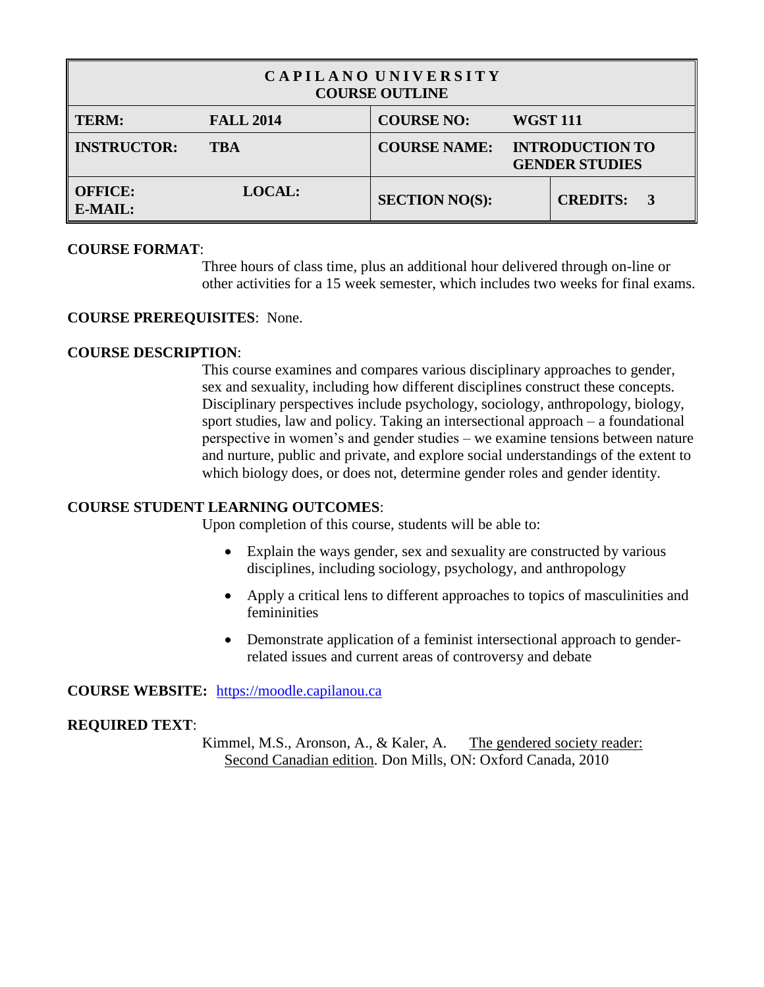| CAPILANO UNIVERSITY<br><b>COURSE OUTLINE</b> |                  |                       |                                                 |  |  |  |
|----------------------------------------------|------------------|-----------------------|-------------------------------------------------|--|--|--|
| <b>TERM:</b>                                 | <b>FALL 2014</b> | <b>COURSE NO:</b>     | <b>WGST 111</b>                                 |  |  |  |
| <b>INSTRUCTOR:</b>                           | <b>TBA</b>       | <b>COURSE NAME:</b>   | <b>INTRODUCTION TO</b><br><b>GENDER STUDIES</b> |  |  |  |
| <b>OFFICE:</b><br>E-MAIL:                    | <b>LOCAL:</b>    | <b>SECTION NO(S):</b> | <b>CREDITS:</b><br>- 3                          |  |  |  |

### **COURSE FORMAT**:

Three hours of class time, plus an additional hour delivered through on-line or other activities for a 15 week semester, which includes two weeks for final exams.

#### **COURSE PREREQUISITES**: None.

### **COURSE DESCRIPTION**:

This course examines and compares various disciplinary approaches to gender, sex and sexuality, including how different disciplines construct these concepts. Disciplinary perspectives include psychology, sociology, anthropology, biology, sport studies, law and policy. Taking an intersectional approach – a foundational perspective in women's and gender studies – we examine tensions between nature and nurture, public and private, and explore social understandings of the extent to which biology does, or does not, determine gender roles and gender identity.

# **COURSE STUDENT LEARNING OUTCOMES**:

Upon completion of this course, students will be able to:

- Explain the ways gender, sex and sexuality are constructed by various disciplines, including sociology, psychology, and anthropology
- Apply a critical lens to different approaches to topics of masculinities and femininities
- Demonstrate application of a feminist intersectional approach to genderrelated issues and current areas of controversy and debate

# **COURSE WEBSITE:** [https://moodle.capilanou.ca](https://moodle.capilanou.ca/)

#### **REQUIRED TEXT**:

Kimmel, M.S., Aronson, A., & Kaler, A. The gendered society reader: Second Canadian edition*.* Don Mills, ON: Oxford Canada, 2010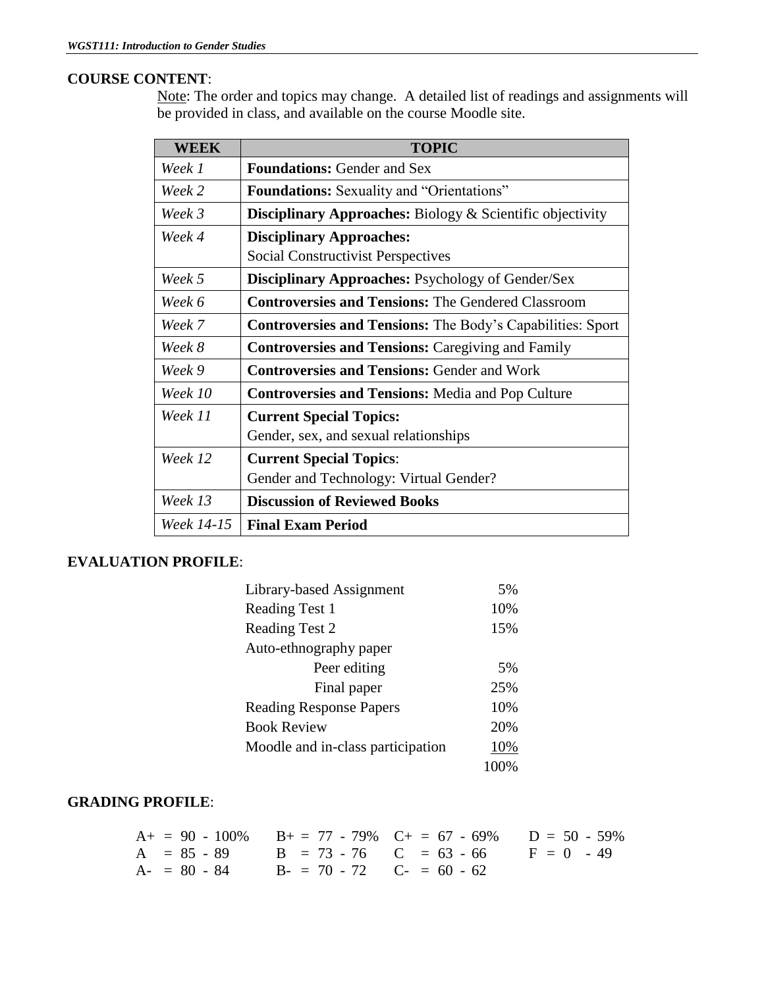# **COURSE CONTENT**:

Note: The order and topics may change. A detailed list of readings and assignments will be provided in class, and available on the course Moodle site.

| <b>WEEK</b> | <b>TOPIC</b>                                                      |  |  |  |
|-------------|-------------------------------------------------------------------|--|--|--|
| Week 1      | <b>Foundations: Gender and Sex</b>                                |  |  |  |
| Week 2      | Foundations: Sexuality and "Orientations"                         |  |  |  |
| Week 3      | <b>Disciplinary Approaches:</b> Biology & Scientific objectivity  |  |  |  |
| Week 4      | <b>Disciplinary Approaches:</b>                                   |  |  |  |
|             | <b>Social Constructivist Perspectives</b>                         |  |  |  |
| Week 5      | <b>Disciplinary Approaches: Psychology of Gender/Sex</b>          |  |  |  |
| Week 6      | <b>Controversies and Tensions: The Gendered Classroom</b>         |  |  |  |
| Week 7      | <b>Controversies and Tensions:</b> The Body's Capabilities: Sport |  |  |  |
| Week 8      | <b>Controversies and Tensions: Caregiving and Family</b>          |  |  |  |
| Week 9      | <b>Controversies and Tensions: Gender and Work</b>                |  |  |  |
| Week 10     | <b>Controversies and Tensions: Media and Pop Culture</b>          |  |  |  |
| Week 11     | <b>Current Special Topics:</b>                                    |  |  |  |
|             | Gender, sex, and sexual relationships                             |  |  |  |
| Week 12     | <b>Current Special Topics:</b>                                    |  |  |  |
|             | Gender and Technology: Virtual Gender?                            |  |  |  |
| Week 13     | <b>Discussion of Reviewed Books</b>                               |  |  |  |
| Week 14-15  | <b>Final Exam Period</b>                                          |  |  |  |

# **EVALUATION PROFILE**:

| Library-based Assignment          | 5%   |
|-----------------------------------|------|
| Reading Test 1                    | 10%  |
| Reading Test 2                    | 15%  |
| Auto-ethnography paper            |      |
| Peer editing                      | 5%   |
| Final paper                       | 25%  |
| <b>Reading Response Papers</b>    | 10%  |
| <b>Book Review</b>                | 20%  |
| Moodle and in-class participation | 10%  |
|                                   | 100% |

# **GRADING PROFILE**:

|  |                                           | $A_+ = 90 - 100\%$ $B_+ = 77 - 79\%$ $C_+ = 67 - 69\%$ $D = 50 - 59\%$ |  |
|--|-------------------------------------------|------------------------------------------------------------------------|--|
|  |                                           | $A = 85 - 89$ $B = 73 - 76$ $C = 63 - 66$ $F = 0 - 49$                 |  |
|  | $A = 80 - 84$ $B = 70 - 72$ $C = 60 - 62$ |                                                                        |  |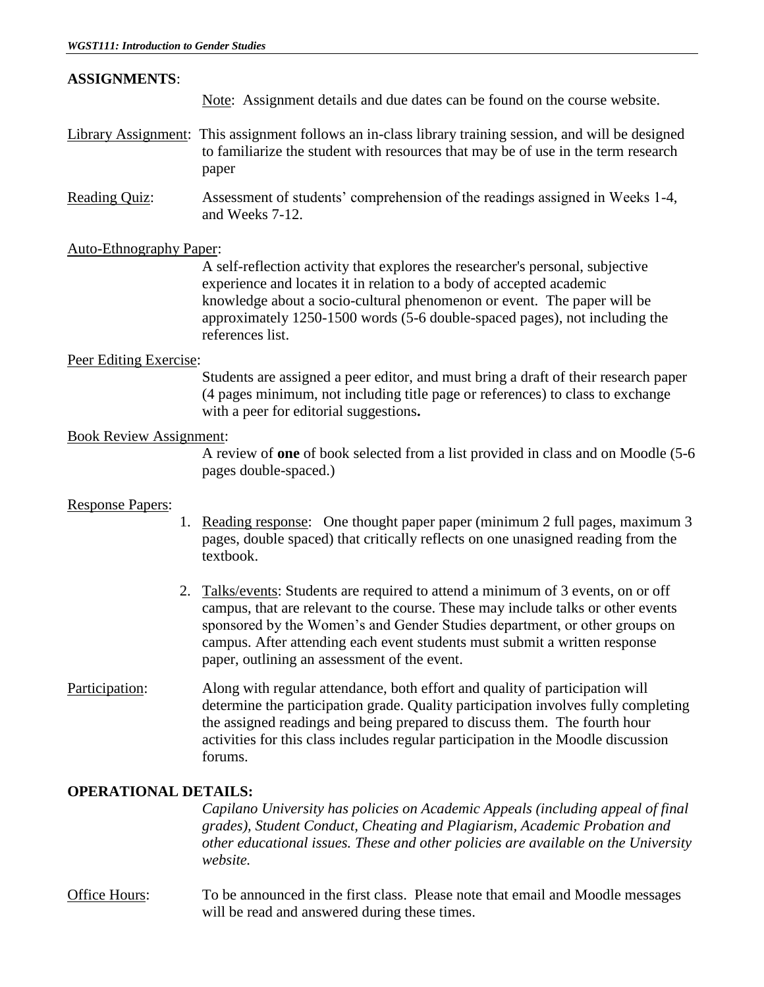### **ASSIGNMENTS**:

Note: Assignment details and due dates can be found on the course website.

- Library Assignment: This assignment follows an in-class library training session, and will be designed to familiarize the student with resources that may be of use in the term research paper
- Reading Quiz: Assessment of students' comprehension of the readings assigned in Weeks 1-4, and Weeks 7-12.

#### Auto-Ethnography Paper:

A self-reflection activity that explores the researcher's personal, subjective experience and locates it in relation to a body of accepted academic knowledge about a socio-cultural phenomenon or event. The paper will be approximately 1250-1500 words (5-6 double-spaced pages), not including the references list.

#### Peer Editing Exercise:

Students are assigned a peer editor, and must bring a draft of their research paper (4 pages minimum, not including title page or references) to class to exchange with a peer for editorial suggestions**.** 

#### Book Review Assignment:

A review of **one** of book selected from a list provided in class and on Moodle (5-6 pages double-spaced.)

#### Response Papers:

- 1. Reading response: One thought paper paper (minimum 2 full pages, maximum 3 pages, double spaced) that critically reflects on one unasigned reading from the textbook.
- 2. Talks/events: Students are required to attend a minimum of 3 events, on or off campus, that are relevant to the course. These may include talks or other events sponsored by the Women's and Gender Studies department, or other groups on campus. After attending each event students must submit a written response paper, outlining an assessment of the event.
- Participation: Along with regular attendance, both effort and quality of participation will determine the participation grade. Quality participation involves fully completing the assigned readings and being prepared to discuss them. The fourth hour activities for this class includes regular participation in the Moodle discussion forums.

# **OPERATIONAL DETAILS:**

*Capilano University has policies on Academic Appeals (including appeal of final grades), Student Conduct, Cheating and Plagiarism, Academic Probation and other educational issues. These and other policies are available on the University website.*

Office Hours: To be announced in the first class. Please note that email and Moodle messages will be read and answered during these times.